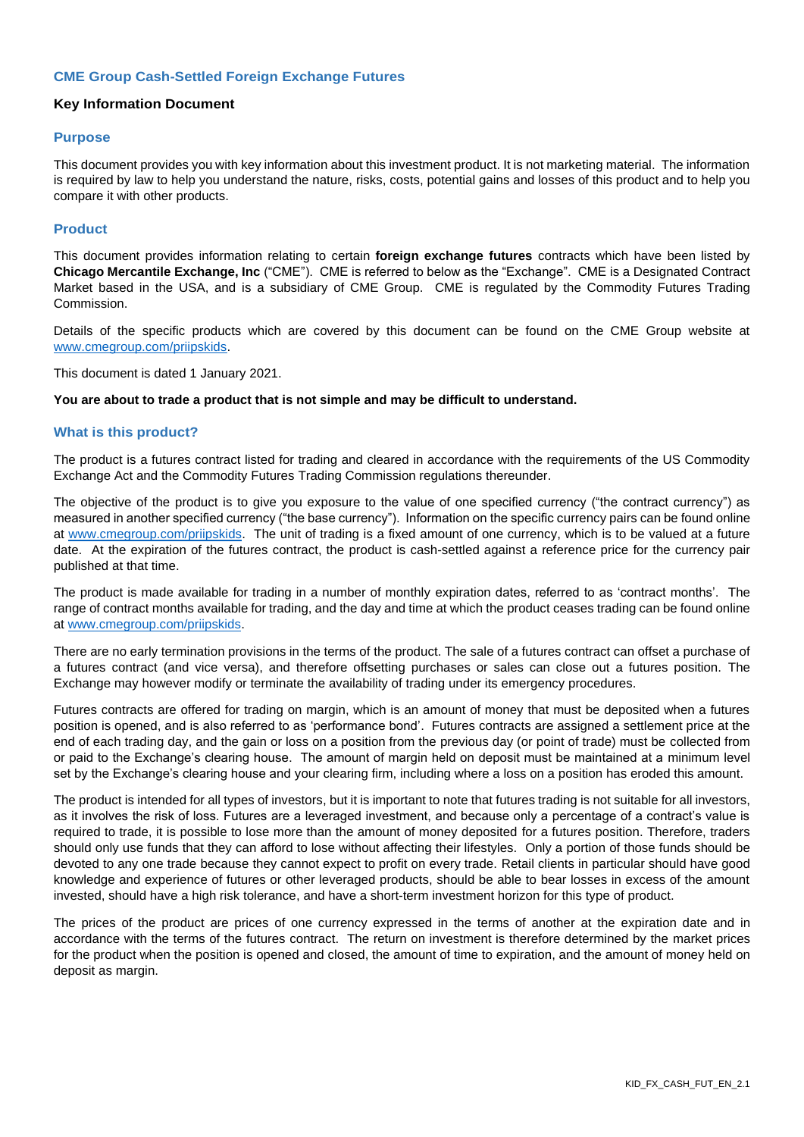# **CME Group Cash-Settled Foreign Exchange Futures**

## **Key Information Document**

#### **Purpose**

This document provides you with key information about this investment product. It is not marketing material. The information is required by law to help you understand the nature, risks, costs, potential gains and losses of this product and to help you compare it with other products.

#### **Product**

This document provides information relating to certain **foreign exchange futures** contracts which have been listed by **Chicago Mercantile Exchange, Inc** ("CME"). CME is referred to below as the "Exchange". CME is a Designated Contract Market based in the USA, and is a subsidiary of CME Group. CME is regulated by the Commodity Futures Trading Commission.

Details of the specific products which are covered by this document can be found on the CME Group website at [www.cmegroup.com/priipskids.](http://www.cmegroup.com/priipskids)

This document is dated 1 January 2021.

#### **You are about to trade a product that is not simple and may be difficult to understand.**

#### **What is this product?**

The product is a futures contract listed for trading and cleared in accordance with the requirements of the US Commodity Exchange Act and the Commodity Futures Trading Commission regulations thereunder.

The objective of the product is to give you exposure to the value of one specified currency ("the contract currency") as measured in another specified currency ("the base currency"). Information on the specific currency pairs can be found online at [www.cmegroup.com/priipskids.](http://www.cmegroup.com/priipskids) The unit of trading is a fixed amount of one currency, which is to be valued at a future date. At the expiration of the futures contract, the product is cash-settled against a reference price for the currency pair published at that time.

The product is made available for trading in a number of monthly expiration dates, referred to as 'contract months'. The range of contract months available for trading, and the day and time at which the product ceases trading can be found online at [www.cmegroup.com/priipskids.](http://www.cmegroup.com/priipskids)

There are no early termination provisions in the terms of the product. The sale of a futures contract can offset a purchase of a futures contract (and vice versa), and therefore offsetting purchases or sales can close out a futures position. The Exchange may however modify or terminate the availability of trading under its emergency procedures.

Futures contracts are offered for trading on margin, which is an amount of money that must be deposited when a futures position is opened, and is also referred to as 'performance bond'. Futures contracts are assigned a settlement price at the end of each trading day, and the gain or loss on a position from the previous day (or point of trade) must be collected from or paid to the Exchange's clearing house. The amount of margin held on deposit must be maintained at a minimum level set by the Exchange's clearing house and your clearing firm, including where a loss on a position has eroded this amount.

The product is intended for all types of investors, but it is important to note that futures trading is not suitable for all investors, as it involves the risk of loss. Futures are a leveraged investment, and because only a percentage of a contract's value is required to trade, it is possible to lose more than the amount of money deposited for a futures position. Therefore, traders should only use funds that they can afford to lose without affecting their lifestyles. Only a portion of those funds should be devoted to any one trade because they cannot expect to profit on every trade. Retail clients in particular should have good knowledge and experience of futures or other leveraged products, should be able to bear losses in excess of the amount invested, should have a high risk tolerance, and have a short-term investment horizon for this type of product.

The prices of the product are prices of one currency expressed in the terms of another at the expiration date and in accordance with the terms of the futures contract. The return on investment is therefore determined by the market prices for the product when the position is opened and closed, the amount of time to expiration, and the amount of money held on deposit as margin.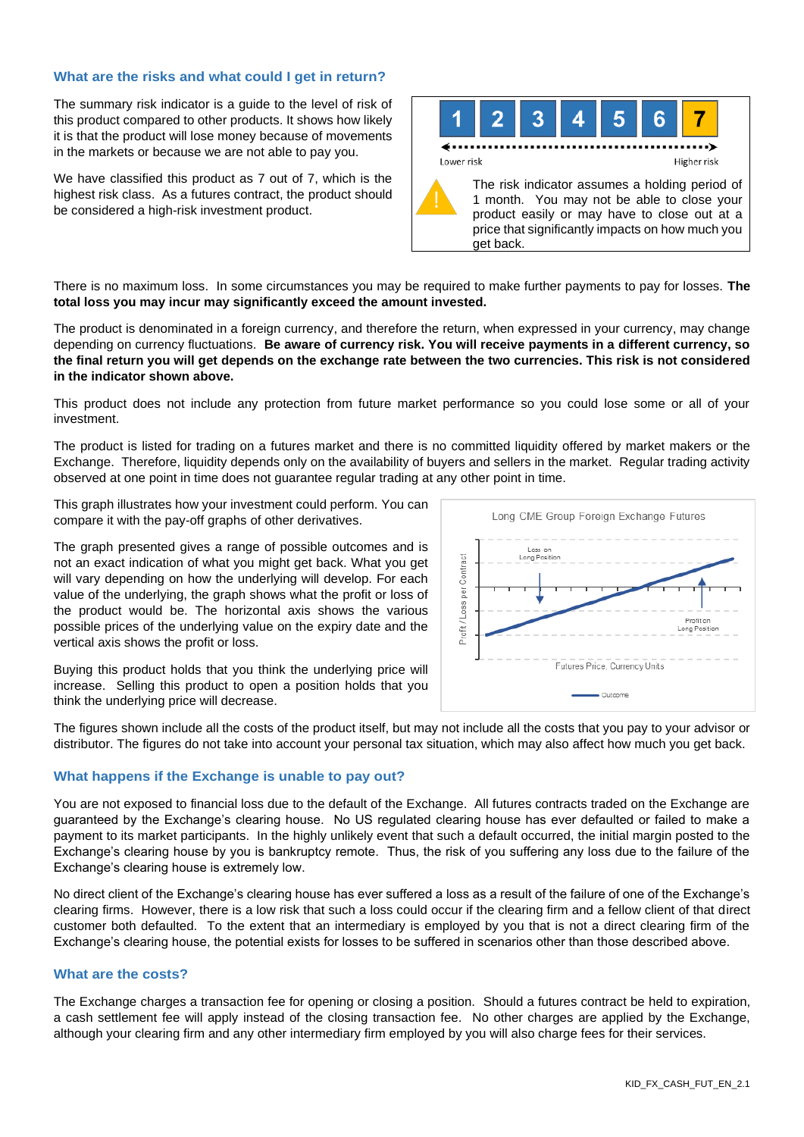## **What are the risks and what could I get in return?**

The summary risk indicator is a guide to the level of risk of this product compared to other products. It shows how likely it is that the product will lose money because of movements in the markets or because we are not able to pay you.

We have classified this product as 7 out of 7, which is the highest risk class. As a futures contract, the product should be considered a high-risk investment product.



There is no maximum loss. In some circumstances you may be required to make further payments to pay for losses. **The total loss you may incur may significantly exceed the amount invested.**

The product is denominated in a foreign currency, and therefore the return, when expressed in your currency, may change depending on currency fluctuations. **Be aware of currency risk. You will receive payments in a different currency, so the final return you will get depends on the exchange rate between the two currencies. This risk is not considered in the indicator shown above.**

This product does not include any protection from future market performance so you could lose some or all of your investment.

The product is listed for trading on a futures market and there is no committed liquidity offered by market makers or the Exchange. Therefore, liquidity depends only on the availability of buyers and sellers in the market. Regular trading activity observed at one point in time does not guarantee regular trading at any other point in time.

This graph illustrates how your investment could perform. You can compare it with the pay-off graphs of other derivatives.

The graph presented gives a range of possible outcomes and is not an exact indication of what you might get back. What you get will vary depending on how the underlying will develop. For each value of the underlying, the graph shows what the profit or loss of the product would be. The horizontal axis shows the various possible prices of the underlying value on the expiry date and the vertical axis shows the profit or loss.

Buying this product holds that you think the underlying price will increase. Selling this product to open a position holds that you think the underlying price will decrease.



The figures shown include all the costs of the product itself, but may not include all the costs that you pay to your advisor or distributor. The figures do not take into account your personal tax situation, which may also affect how much you get back.

## **What happens if the Exchange is unable to pay out?**

You are not exposed to financial loss due to the default of the Exchange. All futures contracts traded on the Exchange are guaranteed by the Exchange's clearing house. No US regulated clearing house has ever defaulted or failed to make a payment to its market participants. In the highly unlikely event that such a default occurred, the initial margin posted to the Exchange's clearing house by you is bankruptcy remote. Thus, the risk of you suffering any loss due to the failure of the Exchange's clearing house is extremely low.

No direct client of the Exchange's clearing house has ever suffered a loss as a result of the failure of one of the Exchange's clearing firms. However, there is a low risk that such a loss could occur if the clearing firm and a fellow client of that direct customer both defaulted. To the extent that an intermediary is employed by you that is not a direct clearing firm of the Exchange's clearing house, the potential exists for losses to be suffered in scenarios other than those described above.

## **What are the costs?**

The Exchange charges a transaction fee for opening or closing a position. Should a futures contract be held to expiration, a cash settlement fee will apply instead of the closing transaction fee. No other charges are applied by the Exchange, although your clearing firm and any other intermediary firm employed by you will also charge fees for their services.